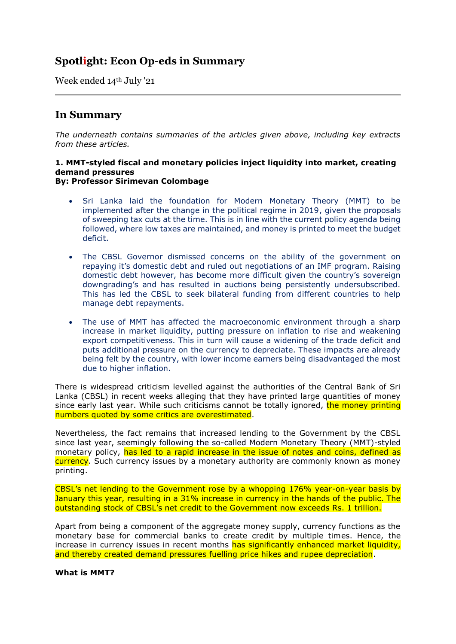# **Spotlight: Econ Op-eds in Summary**

Week ended 14th July '21

# **In Summary**

*The underneath contains summaries of the articles given above, including key extracts from these articles.*

#### **1. MMT-styled fiscal and monetary policies inject liquidity into market, creating demand pressures By: Professor Sirimevan Colombage**

- Sri Lanka laid the foundation for Modern Monetary Theory (MMT) to be implemented after the change in the political regime in 2019, given the proposals of sweeping tax cuts at the time. This is in line with the current policy agenda being followed, where low taxes are maintained, and money is printed to meet the budget deficit.
- The CBSL Governor dismissed concerns on the ability of the government on repaying it's domestic debt and ruled out negotiations of an IMF program. Raising domestic debt however, has become more difficult given the country's sovereign downgrading's and has resulted in auctions being persistently undersubscribed. This has led the CBSL to seek bilateral funding from different countries to help manage debt repayments.
- The use of MMT has affected the macroeconomic environment through a sharp increase in market liquidity, putting pressure on inflation to rise and weakening export competitiveness. This in turn will cause a widening of the trade deficit and puts additional pressure on the currency to depreciate. These impacts are already being felt by the country, with lower income earners being disadvantaged the most due to higher inflation.

There is widespread criticism levelled against the authorities of the Central Bank of Sri Lanka (CBSL) in recent weeks alleging that they have printed large quantities of money since early last year. While such criticisms cannot be totally ignored, the money printing numbers quoted by some critics are overestimated.

Nevertheless, the fact remains that increased lending to the Government by the CBSL since last year, seemingly following the so-called Modern Monetary Theory (MMT)-styled monetary policy, has led to a rapid increase in the issue of notes and coins, defined as currency. Such currency issues by a monetary authority are commonly known as money printing.

CBSL's net lending to the Government rose by a whopping 176% year-on-year basis by January this year, resulting in a 31% increase in currency in the hands of the public. The outstanding stock of CBSL's net credit to the Government now exceeds Rs. 1 trillion.

Apart from being a component of the aggregate money supply, currency functions as the monetary base for commercial banks to create credit by multiple times. Hence, the increase in currency issues in recent months has significantly enhanced market liquidity, and thereby created demand pressures fuelling price hikes and rupee depreciation.

**What is MMT?**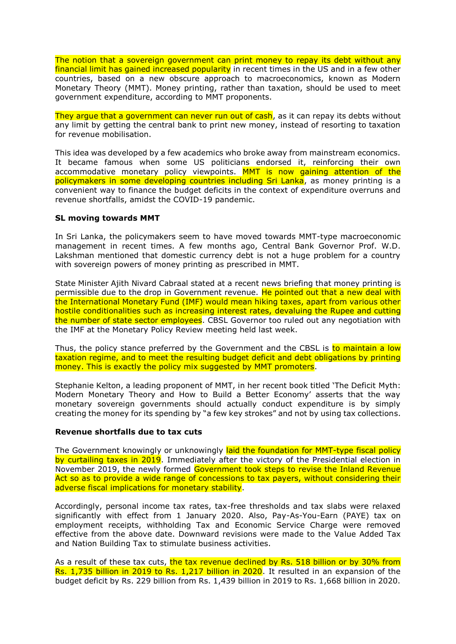The notion that a sovereign government can print money to repay its debt without any financial limit has gained increased popularity in recent times in the US and in a few other countries, based on a new obscure approach to macroeconomics, known as Modern Monetary Theory (MMT). Money printing, rather than taxation, should be used to meet government expenditure, according to MMT proponents.

They argue that a government can never run out of cash, as it can repay its debts without any limit by getting the central bank to print new money, instead of resorting to taxation for revenue mobilisation.

This idea was developed by a few academics who broke away from mainstream economics. It became famous when some US politicians endorsed it, reinforcing their own accommodative monetary policy viewpoints. MMT is now gaining attention of the policymakers in some developing countries including Sri Lanka, as money printing is a convenient way to finance the budget deficits in the context of expenditure overruns and revenue shortfalls, amidst the COVID-19 pandemic.

# **SL moving towards MMT**

In Sri Lanka, the policymakers seem to have moved towards MMT-type macroeconomic management in recent times. A few months ago, Central Bank Governor Prof. W.D. Lakshman mentioned that domestic currency debt is not a huge problem for a country with sovereign powers of money printing as prescribed in MMT.

State Minister Ajith Nivard Cabraal stated at a recent news briefing that money printing is permissible due to the drop in Government revenue. He pointed out that a new deal with the International Monetary Fund (IMF) would mean hiking taxes, apart from various other hostile conditionalities such as increasing interest rates, devaluing the Rupee and cutting the number of state sector employees. CBSL Governor too ruled out any negotiation with the IMF at the Monetary Policy Review meeting held last week.

Thus, the policy stance preferred by the Government and the CBSL is to maintain a low taxation regime, and to meet the resulting budget deficit and debt obligations by printing money. This is exactly the policy mix suggested by MMT promoters.

Stephanie Kelton, a leading proponent of MMT, in her recent book titled 'The Deficit Myth: Modern Monetary Theory and How to Build a Better Economy' asserts that the way monetary sovereign governments should actually conduct expenditure is by simply creating the money for its spending by "a few key strokes" and not by using tax collections.

# **Revenue shortfalls due to tax cuts**

The Government knowingly or unknowingly laid the foundation for MMT-type fiscal policy by curtailing taxes in 2019. Immediately after the victory of the Presidential election in November 2019, the newly formed Government took steps to revise the Inland Revenue Act so as to provide a wide range of concessions to tax payers, without considering their adverse fiscal implications for monetary stability.

Accordingly, personal income tax rates, tax-free thresholds and tax slabs were relaxed significantly with effect from 1 January 2020. Also, Pay-As-You-Earn (PAYE) tax on employment receipts, withholding Tax and Economic Service Charge were removed effective from the above date. Downward revisions were made to the Value Added Tax and Nation Building Tax to stimulate business activities.

As a result of these tax cuts, the tax revenue declined by Rs. 518 billion or by 30% from Rs. 1,735 billion in 2019 to Rs. 1,217 billion in 2020. It resulted in an expansion of the budget deficit by Rs. 229 billion from Rs. 1,439 billion in 2019 to Rs. 1,668 billion in 2020.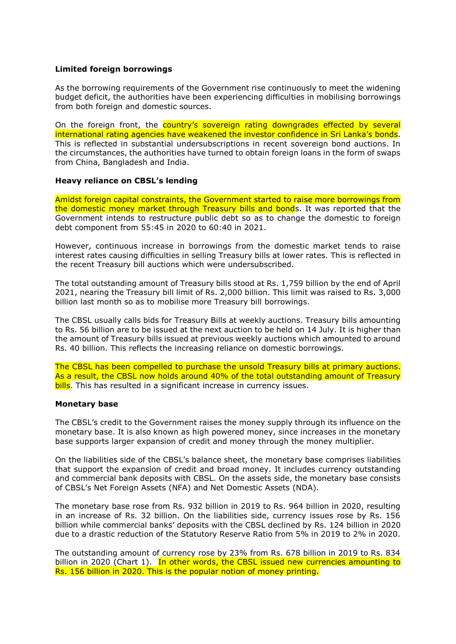# **Limited foreign borrowings**

As the borrowing requirements of the Government rise continuously to meet the widening budget deficit, the authorities have been experiencing difficulties in mobilising borrowings from both foreign and domestic sources.

On the foreign front, the country's sovereign rating downgrades effected by several international rating agencies have weakened the investor confidence in Sri Lanka's bonds. This is reflected in substantial undersubscriptions in recent sovereign bond auctions. In the circumstances, the authorities have turned to obtain foreign loans in the form of swaps from China, Bangladesh and India.

# **Heavy reliance on CBSL's lending**

Amidst foreign capital constraints, the Government started to raise more borrowings from the domestic money market through Treasury bills and bonds. It was reported that the Government intends to restructure public debt so as to change the domestic to foreign debt component from 55:45 in 2020 to 60:40 in 2021.

However, continuous increase in borrowings from the domestic market tends to raise interest rates causing difficulties in selling Treasury bills at lower rates. This is reflected in the recent Treasury bill auctions which were undersubscribed.

The total outstanding amount of Treasury bills stood at Rs. 1,759 billion by the end of April 2021, nearing the Treasury bill limit of Rs. 2,000 billion. This limit was raised to Rs. 3,000 billion last month so as to mobilise more Treasury bill borrowings.

The CBSL usually calls bids for Treasury Bills at weekly auctions. Treasury bills amounting to Rs. 56 billion are to be issued at the next auction to be held on 14 July. It is higher than the amount of Treasury bills issued at previous weekly auctions which amounted to around Rs. 40 billion. This reflects the increasing reliance on domestic borrowings.

The CBSL has been compelled to purchase the unsold Treasury bills at primary auctions. As a result, the CBSL now holds around 40% of the total outstanding amount of Treasury bills. This has resulted in a significant increase in currency issues.

# **Monetary base**

The CBSL's credit to the Government raises the money supply through its influence on the monetary base. It is also known as high powered money, since increases in the monetary base supports larger expansion of credit and money through the money multiplier.

On the liabilities side of the CBSL's balance sheet, the monetary base comprises liabilities that support the expansion of credit and broad money. It includes currency outstanding and commercial bank deposits with CBSL. On the assets side, the monetary base consists of CBSL's Net Foreign Assets (NFA) and Net Domestic Assets (NDA).

The monetary base rose from Rs. 932 billion in 2019 to Rs. 964 billion in 2020, resulting in an increase of Rs. 32 billion. On the liabilities side, currency issues rose by Rs. 156 billion while commercial banks' deposits with the CBSL declined by Rs. 124 billion in 2020 due to a drastic reduction of the Statutory Reserve Ratio from 5% in 2019 to 2% in 2020.

The outstanding amount of currency rose by 23% from Rs. 678 billion in 2019 to Rs. 834 billion in 2020 (Chart 1). In other words, the CBSL issued new currencies amounting to Rs. 156 billion in 2020. This is the popular notion of money printing.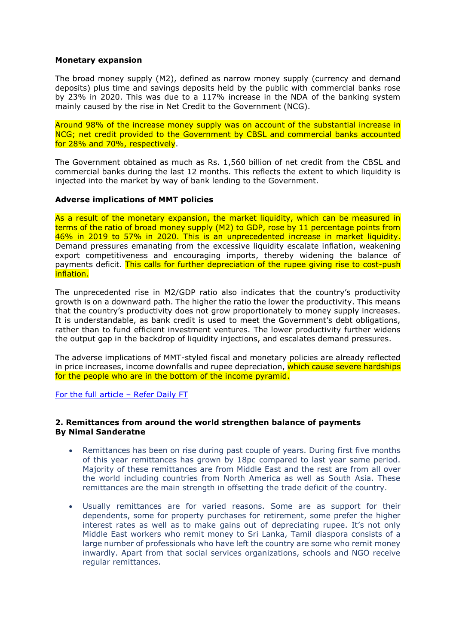### **Monetary expansion**

The broad money supply (M2), defined as narrow money supply (currency and demand deposits) plus time and savings deposits held by the public with commercial banks rose by 23% in 2020. This was due to a 117% increase in the NDA of the banking system mainly caused by the rise in Net Credit to the Government (NCG).

Around 98% of the increase money supply was on account of the substantial increase in NCG; net credit provided to the Government by CBSL and commercial banks accounted for 28% and 70%, respectively.

The Government obtained as much as Rs. 1,560 billion of net credit from the CBSL and commercial banks during the last 12 months. This reflects the extent to which liquidity is injected into the market by way of bank lending to the Government.

# **Adverse implications of MMT policies**

As a result of the monetary expansion, the market liquidity, which can be measured in terms of the ratio of broad money supply (M2) to GDP, rose by 11 percentage points from 46% in 2019 to 57% in 2020. This is an unprecedented increase in market liquidity. Demand pressures emanating from the excessive liquidity escalate inflation, weakening export competitiveness and encouraging imports, thereby widening the balance of payments deficit. This calls for further depreciation of the rupee giving rise to cost-push inflation.

The unprecedented rise in M2/GDP ratio also indicates that the country's productivity growth is on a downward path. The higher the ratio the lower the productivity. This means that the country's productivity does not grow proportionately to money supply increases. It is understandable, as bank credit is used to meet the Government's debt obligations, rather than to fund efficient investment ventures. The lower productivity further widens the output gap in the backdrop of liquidity injections, and escalates demand pressures.

The adverse implications of MMT-styled fiscal and monetary policies are already reflected in price increases, income downfalls and rupee depreciation, which cause severe hardships for the people who are in the bottom of the income pyramid.

[For the full article](https://www.ft.lk/opinion/MMT-styled-fiscal-and-monetary-policies-inject-liquidity-into-market-creating-demand-pressures/14-720362) – Refer Daily FT

# **2. Remittances from around the world strengthen balance of payments By Nimal Sanderatne**

- Remittances has been on rise during past couple of years. During first five months of this year remittances has grown by 18pc compared to last year same period. Majority of these remittances are from Middle East and the rest are from all over the world including countries from North America as well as South Asia. These remittances are the main strength in offsetting the trade deficit of the country.
- Usually remittances are for varied reasons. Some are as support for their dependents, some for property purchases for retirement, some prefer the higher interest rates as well as to make gains out of depreciating rupee. It's not only Middle East workers who remit money to Sri Lanka, Tamil diaspora consists of a large number of professionals who have left the country are some who remit money inwardly. Apart from that social services organizations, schools and NGO receive regular remittances.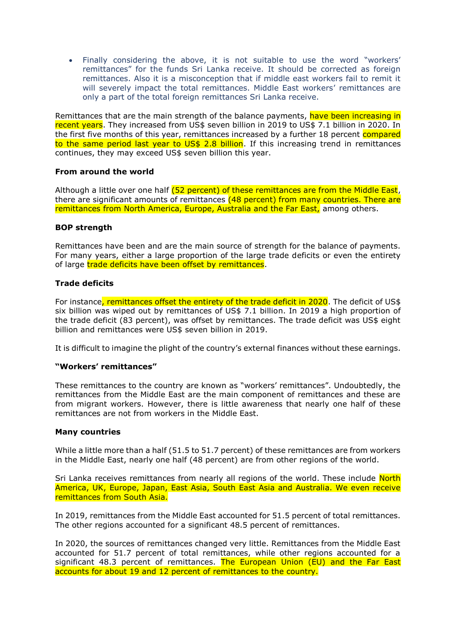• Finally considering the above, it is not suitable to use the word "workers' remittances" for the funds Sri Lanka receive. It should be corrected as foreign remittances. Also it is a misconception that if middle east workers fail to remit it will severely impact the total remittances. Middle East workers' remittances are only a part of the total foreign remittances Sri Lanka receive.

Remittances that are the main strength of the balance payments, have been increasing in recent years. They increased from US\$ seven billion in 2019 to US\$ 7.1 billion in 2020. In the first five months of this year, remittances increased by a further 18 percent compared to the same period last year to US\$ 2.8 billion. If this increasing trend in remittances continues, they may exceed US\$ seven billion this year.

# **From around the world**

Although a little over one half (52 percent) of these remittances are from the Middle East, there are significant amounts of remittances (48 percent) from many countries. There are remittances from North America, Europe, Australia and the Far East, among others.

# **BOP strength**

Remittances have been and are the main source of strength for the balance of payments. For many years, either a large proportion of the large trade deficits or even the entirety of large trade deficits have been offset by remittances.

# **Trade deficits**

For instance, remittances offset the entirety of the trade deficit in 2020. The deficit of US\$ six billion was wiped out by remittances of US\$ 7.1 billion. In 2019 a high proportion of the trade deficit (83 percent), was offset by remittances. The trade deficit was US\$ eight billion and remittances were US\$ seven billion in 2019.

It is difficult to imagine the plight of the country's external finances without these earnings.

# **"Workers' remittances"**

These remittances to the country are known as "workers' remittances". Undoubtedly, the remittances from the Middle East are the main component of remittances and these are from migrant workers. However, there is little awareness that nearly one half of these remittances are not from workers in the Middle East.

# **Many countries**

While a little more than a half (51.5 to 51.7 percent) of these remittances are from workers in the Middle East, nearly one half (48 percent) are from other regions of the world.

Sri Lanka receives remittances from nearly all regions of the world. These include North America, UK, Europe, Japan, East Asia, South East Asia and Australia. We even receive remittances from South Asia.

In 2019, remittances from the Middle East accounted for 51.5 percent of total remittances. The other regions accounted for a significant 48.5 percent of remittances.

In 2020, the sources of remittances changed very little. Remittances from the Middle East accounted for 51.7 percent of total remittances, while other regions accounted for a significant 48.3 percent of remittances. The European Union (EU) and the Far East accounts for about 19 and 12 percent of remittances to the country.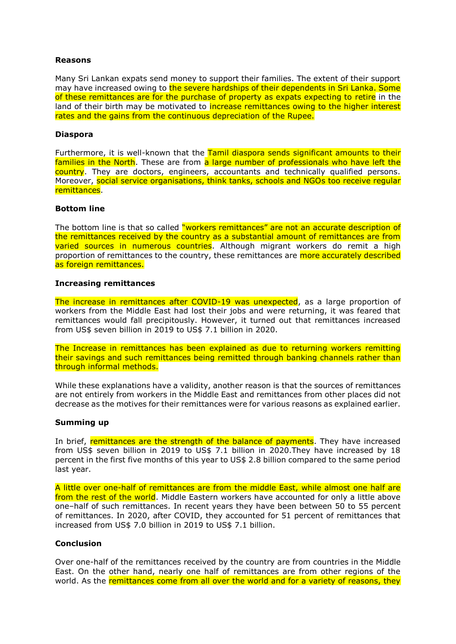# **Reasons**

Many Sri Lankan expats send money to support their families. The extent of their support may have increased owing to the severe hardships of their dependents in Sri Lanka. Some of these remittances are for the purchase of property as expats expecting to retire in the land of their birth may be motivated to *increase remittances owing to the higher interest* rates and the gains from the continuous depreciation of the Rupee.

#### **Diaspora**

Furthermore, it is well-known that the Tamil diaspora sends significant amounts to their families in the North. These are from a large number of professionals who have left the country. They are doctors, engineers, accountants and technically qualified persons. Moreover, social service organisations, think tanks, schools and NGOs too receive regular remittances.

### **Bottom line**

The bottom line is that so called "workers remittances" are not an accurate description of the remittances received by the country as a substantial amount of remittances are from varied sources in numerous countries. Although migrant workers do remit a high proportion of remittances to the country, these remittances are more accurately described as foreign remittances.

#### **Increasing remittances**

The increase in remittances after COVID-19 was unexpected, as a large proportion of workers from the Middle East had lost their jobs and were returning, it was feared that remittances would fall precipitously. However, it turned out that remittances increased from US\$ seven billion in 2019 to US\$ 7.1 billion in 2020.

The Increase in remittances has been explained as due to returning workers remitting their savings and such remittances being remitted through banking channels rather than through informal methods.

While these explanations have a validity, another reason is that the sources of remittances are not entirely from workers in the Middle East and remittances from other places did not decrease as the motives for their remittances were for various reasons as explained earlier.

# **Summing up**

In brief, remittances are the strength of the balance of payments. They have increased from US\$ seven billion in 2019 to US\$ 7.1 billion in 2020.They have increased by 18 percent in the first five months of this year to US\$ 2.8 billion compared to the same period last year.

A little over one-half of remittances are from the middle East, while almost one half are from the rest of the world. Middle Eastern workers have accounted for only a little above one–half of such remittances. In recent years they have been between 50 to 55 percent of remittances. In 2020, after COVID, they accounted for 51 percent of remittances that increased from US\$ 7.0 billion in 2019 to US\$ 7.1 billion.

# **Conclusion**

Over one-half of the remittances received by the country are from countries in the Middle East. On the other hand, nearly one half of remittances are from other regions of the world. As the remittances come from all over the world and for a variety of reasons, they